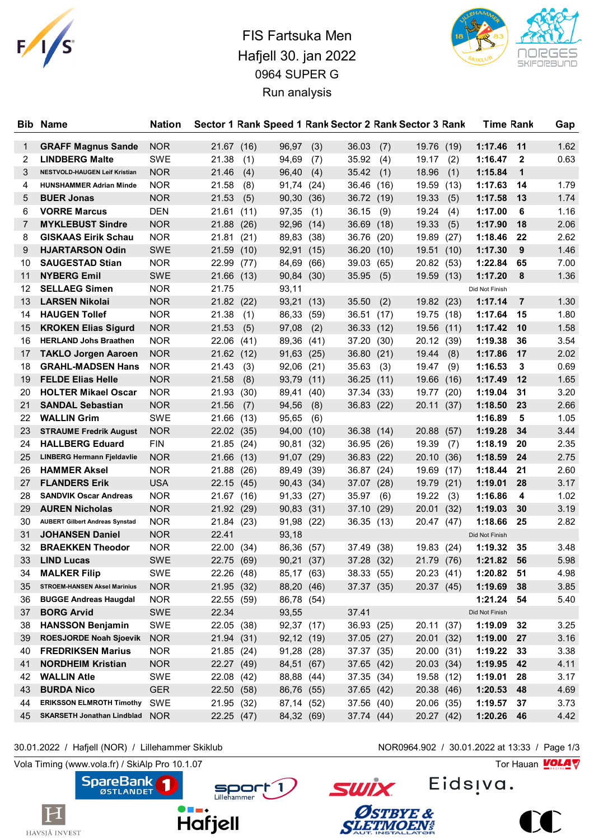

## FIS Fartsuka Men Hafjell 30. jan 2022 0964 SUPER G Run analysis



| Bib.     | Name                                                       | <b>Nation</b>            |                          |              |                          |              |                |                          | Sector 1 Rank Speed 1 Rank Sector 2 Rank Sector 3 Rank |              | <b>Time Rank</b>   |                | Gap          |
|----------|------------------------------------------------------------|--------------------------|--------------------------|--------------|--------------------------|--------------|----------------|--------------------------|--------------------------------------------------------|--------------|--------------------|----------------|--------------|
| 1        | <b>GRAFF Magnus Sande</b>                                  | <b>NOR</b>               | 21.67 (16)               |              | 96,97                    | (3)          | 36.03          | (7)                      | 19.76 (19)                                             |              | 1:17.46            | 11             | 1.62         |
| 2        | <b>LINDBERG Malte</b>                                      | SWE                      | 21.38                    | (1)          | 94,69                    | (7)          | 35.92          | (4)                      | 19.17                                                  | (2)          | 1:16.47            | $\mathbf{2}$   | 0.63         |
| 3        | NESTVOLD-HAUGEN Leif Kristian                              | <b>NOR</b>               | 21.46                    | (4)          | 96,40                    | (4)          | 35.42          | (1)                      | 18.96                                                  | (1)          | 1:15.84            | $\mathbf{1}$   |              |
| 4        | <b>HUNSHAMMER Adrian Minde</b>                             | <b>NOR</b>               | 21.58                    | (8)          | 91,74                    | (24)         | 36.46          | (16)                     | 19.59                                                  | (13)         | 1:17.63            | 14             | 1.79         |
| 5        | <b>BUER Jonas</b>                                          | <b>NOR</b>               | 21.53                    | (5)          | 90,30                    | (36)         |                | 36.72 (19)               | 19.33                                                  |              | 1:17.58            | 13             | 1.74         |
| 6        | <b>VORRE Marcus</b>                                        | <b>DEN</b>               |                          |              | 97,35                    |              |                |                          | 19.24                                                  | (5)          | 1:17.00            | 6              | 1.16         |
| 7        | <b>MYKLEBUST Sindre</b>                                    |                          | 21.61                    | (11)         | 92,96                    | (1)          | 36.15          | (9)                      |                                                        | (4)          | 1:17.90            | 18             | 2.06         |
| 8        | <b>GISKAAS Eirik Schau</b>                                 | <b>NOR</b><br><b>NOR</b> | 21.88<br>21.81           | (26)         |                          | (14)         | 36.69<br>36.76 | (18)                     | 19.33                                                  | (5)          | 1:18.46            | 22             | 2.62         |
| 9        | <b>HJARTARSON Odin</b>                                     | <b>SWE</b>               | 21.59                    | (21)<br>(10) | 89,83<br>92,91           | (38)<br>(15) | 36.20          | (20)<br>(10)             | 19.89<br>19.51                                         | (27)<br>(10) | 1:17.30            | 9              | 1.46         |
| 10       | <b>SAUGESTAD Stian</b>                                     | <b>NOR</b>               |                          |              |                          |              |                |                          |                                                        |              | 1:22.84            | 65             | 7.00         |
|          | <b>NYBERG Emil</b>                                         | <b>SWE</b>               | 22.99<br>21.66 (13)      | (77)         | 84,69                    | (66)         | 39.03          | (65)                     | 20.82                                                  | (53)         | 1:17.20            | 8              | 1.36         |
| 11<br>12 | <b>SELLAEG Simen</b>                                       | <b>NOR</b>               | 21.75                    |              | 90,84<br>93,11           | (30)         | 35.95          | (5)                      | 19.59                                                  | (13)         |                    |                |              |
|          |                                                            |                          |                          |              |                          |              |                |                          |                                                        |              | Did Not Finish     | $\overline{7}$ |              |
| 13       | <b>LARSEN Nikolai</b>                                      | <b>NOR</b>               | 21.82(22)                |              | 93,21                    | (13)         | 35.50          | (2)                      | 19.82 (23)                                             |              | 1:17.14            |                | 1.30<br>1.80 |
| 14<br>15 | <b>HAUGEN Tollef</b>                                       | <b>NOR</b><br><b>NOR</b> | 21.38<br>21.53           | (1)          | 86,33<br>97,08           | (59)         | 36.51          | (17)<br>36.33 (12)       | 19.75 (18)<br>19.56 (11)                               |              | 1:17.64<br>1:17.42 | 15<br>10       | 1.58         |
|          | <b>KROKEN Elias Sigurd</b>                                 |                          |                          | (5)          |                          | (2)          |                |                          |                                                        |              |                    |                |              |
| 16<br>17 | <b>HERLAND Johs Braathen</b><br><b>TAKLO Jorgen Aaroen</b> | <b>NOR</b><br><b>NOR</b> | 22.06<br>21.62(12)       | (41)         | 89,36<br>91,63           | (41)<br>(25) | 37.20<br>36.80 | (30)<br>(21)             | 20.12<br>19.44                                         | (39)         | 1:19.38<br>1:17.86 | 36<br>17       | 3.54<br>2.02 |
| 18       | <b>GRAHL-MADSEN Hans</b>                                   | <b>NOR</b>               | 21.43                    |              |                          |              |                |                          |                                                        | (8)          | 1:16.53            |                | 0.69         |
| 19       | <b>FELDE Elias Helle</b>                                   | <b>NOR</b>               | 21.58                    | (3)<br>(8)   | 92,06 (21)<br>93,79      |              | 35.63<br>36.25 | (3)                      | 19.47<br>19.66                                         | (9)<br>(16)  | 1:17.49            | 3<br>12        | 1.65         |
| 20       | <b>HOLTER Mikael Oscar</b>                                 | <b>NOR</b>               | 21.93                    |              |                          | (11)         |                | (11)                     |                                                        |              | 1:19.04            | 31             | 3.20         |
|          |                                                            |                          |                          | (30)         | 89,41                    | (40)         | 37.34          | (33)                     | 19.77<br>20.11 (37)                                    | (20)         |                    |                |              |
| 21<br>22 | <b>SANDAL Sebastian</b><br><b>WALLIN Grim</b>              | <b>NOR</b><br><b>SWE</b> | 21.56                    | (7)          | 94,56                    | (8)          |                | 36.83 (22)               |                                                        |              | 1:18.50<br>1:16.89 | 23<br>5        | 2.66<br>1.05 |
| 23       | <b>STRAUME Fredrik August</b>                              | <b>NOR</b>               | 21.66                    | (13)         | 95,65<br>94,00           | (6)          |                |                          | 20.88                                                  |              | 1:19.28            | 34             | 3.44         |
| 24       | <b>HALLBERG Eduard</b>                                     | <b>FIN</b>               | 22.02 (35)               |              |                          | (10)         | 36.38 (14)     |                          |                                                        | (57)         | 1:18.19            | 20             | 2.35         |
| 25       |                                                            |                          | 21.85 (24)               |              | 90,81                    | (32)         | 36.95          | (26)                     | 19.39                                                  | (7)          | 1:18.59            | 24             | 2.75         |
| 26       | <b>LINBERG Hermann Fjeldavlie</b><br><b>HAMMER Aksel</b>   | <b>NOR</b><br><b>NOR</b> | 21.66<br>21.88           | (13)         | 91,07                    | (29)         | 36.83          | (22)                     | 20.10                                                  | (36)         | 1:18.44            | 21             | 2.60         |
| 27       | <b>FLANDERS Erik</b>                                       | <b>USA</b>               |                          | (26)         | 89,49                    | (39)         | 36.87          | (24)                     | 19.69<br>19.79 (21)                                    | (17)         | 1:19.01            | 28             | 3.17         |
| 28       | <b>SANDVIK Oscar Andreas</b>                               | <b>NOR</b>               | 22.15 (45)<br>21.67 (16) |              | 90,43 (34)<br>91,33      |              | 35.97          | 37.07 (28)               | 19.22                                                  |              | 1:16.86            | 4              | 1.02         |
| 29       | <b>AUREN Nicholas</b>                                      | <b>NOR</b>               | 21.92 (29)               |              | 90,83 (31)               | (27)         | 37.10          | (6)<br>(29)              | 20.01                                                  | (3)<br>(32)  | 1:19.03            | 30             | 3.19         |
| 30       | <b>AUBERT Gilbert Andreas Synstad</b>                      | <b>NOR</b>               | 21.84 (23)               |              | 91,98 (22)               |              | 36.35          |                          |                                                        |              | 1:18.66            | 25             | 2.82         |
| 31       | <b>JOHANSEN Daniel</b>                                     | <b>NOR</b>               | 22.41                    |              | 93,18                    |              |                | (13)                     | 20.47                                                  | (47)         | Did Not Finish     |                |              |
| 32       | <b>BRAEKKEN Theodor</b>                                    | <b>NOR</b>               | 22.00                    | (34)         | 86,36                    |              | 37.49          | (38)                     | 19.83                                                  | (24)         | 1:19.32            | 35             | 3.48         |
| 33       | <b>LIND Lucas</b>                                          | <b>SWE</b>               | 22.75                    | (69)         | 90,21                    | (57)<br>(37) | 37.28          | (32)                     | 21.79                                                  | (76)         | 1:21.82            | 56             | 5.98         |
| 34       | <b>MALKER Filip</b>                                        | SWE                      | 22.26 (48)               |              | 85,17 (63)               |              |                | 38.33 (55)               | 20.23 (41)                                             |              | 1:20.82            | 51             | 4.98         |
| 35       | <b>STROEM-HANSEN Aksel Marinius</b>                        | <b>NOR</b>               | 21.95(32)                |              | 88,20 (46)               |              |                | 37.37 (35)               | 20.37 (45)                                             |              | 1:19.69            | 38             | 3.85         |
| 36       | <b>BUGGE Andreas Haugdal</b>                               | <b>NOR</b>               | 22.55 (59)               |              | 86,78 (54)               |              |                |                          |                                                        |              | 1:21.24 54         |                | 5.40         |
| 37       | <b>BORG Arvid</b>                                          | SWE                      | 22.34                    |              | 93,55                    |              | 37.41          |                          |                                                        |              | Did Not Finish     |                |              |
| 38       | <b>HANSSON Benjamin</b>                                    | SWE                      |                          |              |                          |              |                |                          | 20.11 (37)                                             |              | 1:19.09            | 32             |              |
| 39       | <b>ROESJORDE Noah Sjoevik</b>                              | <b>NOR</b>               | 22.05 (38)<br>21.94 (31) |              | 92,37 (17)<br>92,12 (19) |              |                | 36.93 (25)<br>37.05(27)  | 20.01 (32)                                             |              | 1:19.00            | 27             | 3.25<br>3.16 |
|          | <b>FREDRIKSEN Marius</b>                                   |                          | 21.85(24)                |              | 91,28 (28)               |              |                |                          |                                                        |              | 1:19.22            |                | 3.38         |
| 40       | <b>NORDHEIM Kristian</b>                                   | <b>NOR</b><br><b>NOR</b> |                          |              | 84,51 (67)               |              |                | 37.37 (35)<br>37.65 (42) | 20.00 (31)                                             |              | 1:19.95            | 33             | 4.11         |
| 41       |                                                            |                          | 22.27 (49)<br>22.08 (42) |              |                          |              |                |                          | 20.03 (34)                                             |              |                    | 42             |              |
| 42       | <b>WALLIN Atle</b>                                         | SWE                      |                          |              | 88,88 (44)               |              |                | 37.35 (34)               | 19.58 (12)                                             |              | 1:19.01            | 28             | 3.17         |
| 43       | <b>BURDA Nico</b><br><b>ERIKSSON ELMROTH Timothy</b>       | <b>GER</b>               | 22.50 (58)               |              | 86,76 (55)               |              |                | 37.65 (42)               | 20.38 (46)                                             |              | 1:20.53            | 48             | 4.69         |
| 44       |                                                            | SWE                      | 21.95 (32)               |              | 87,14 (52)               |              |                | 37.56 (40)               | 20.06 (35)                                             |              | 1:19.57            | 37             | 3.73         |
| 45       | <b>SKARSETH Jonathan Lindblad</b>                          | <b>NOR</b>               | 22.25 (47)               |              | 84,32 (69)               |              |                | 37.74 (44)               | 20.27 (42)                                             |              | 1:20.26            | 46             | 4.42         |

30.01.2022 / Hafjell (NOR) / Lillehammer Skiklub NOR0964.902 / 30.01.2022 at 13:33 / Page 1/3

Eidsiva.

**SWİX** 

Østbye &

**SLETMOEN®** 

 $\triangle$ 

Vola Timing (www.vola.fr) / SkiAlp Pro 10.1.07 Tor Hauan Motor Pro 10.1.07 Tor Hauan Motor Pro 10.1.07



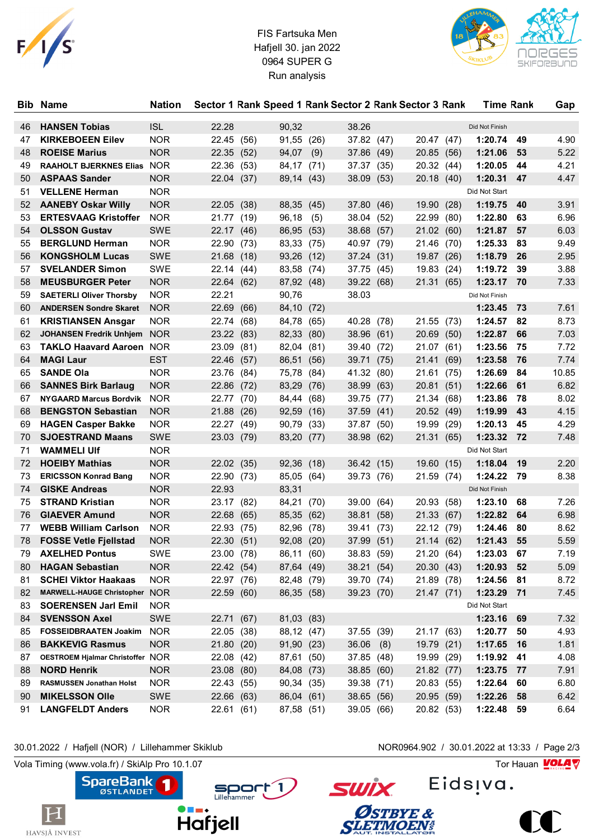

## FIS Fartsuka Men Hafjell 30. jan 2022 0964 SUPER G Run analysis



| Bib | <b>Name</b>                                         | <b>Nation</b>            |                     |      |            |      |            |      | Sector 1 Rank Speed 1 Rank Sector 2 Rank Sector 3 Rank |      | <b>Time Rank</b> |      | Gap   |
|-----|-----------------------------------------------------|--------------------------|---------------------|------|------------|------|------------|------|--------------------------------------------------------|------|------------------|------|-------|
| 46  | <b>HANSEN Tobias</b>                                | <b>ISL</b>               | 22.28               |      | 90,32      |      | 38.26      |      |                                                        |      | Did Not Finish   |      |       |
| 47  | <b>KIRKEBOEEN Eilev</b>                             | <b>NOR</b>               | 22.45               | (56) | 91,55      | (26) | 37.82 (47) |      | 20.47 (47)                                             |      | 1:20.74          | 49   | 4.90  |
| 48  | <b>ROEISE Marius</b>                                | <b>NOR</b>               | 22.35               | (52) | 94,07      | (9)  | 37.86      | (49) | 20.85 (56)                                             |      | 1:21.06          | 53   | 5.22  |
| 49  | RAAHOLT BJERKNES Elias NOR                          |                          | 22.36               | (53) | 84,17      | (71) | 37.37 (35) |      | 20.32 (44)                                             |      | 1:20.05          | 44   | 4.21  |
| 50  | <b>ASPAAS Sander</b>                                | <b>NOR</b>               | 22.04 (37)          |      | 89,14 (43) |      | 38.09 (53) |      | 20.18 (40)                                             |      | 1:20.31          | 47   | 4.47  |
| 51  | <b>VELLENE Herman</b>                               | <b>NOR</b>               |                     |      |            |      |            |      |                                                        |      | Did Not Start    |      |       |
| 52  | <b>AANEBY Oskar Willy</b>                           | <b>NOR</b>               | 22.05 (38)          |      | 88,35 (45) |      | 37.80 (46) |      | 19.90 (28)                                             |      | 1:19.75          | 40   | 3.91  |
| 53  | <b>ERTESVAAG Kristoffer</b>                         | <b>NOR</b>               | 21.77               | (19) | 96,18      | (5)  | 38.04 (52) |      | 22.99                                                  | (80) | 1:22.80          | 63   | 6.96  |
| 54  | <b>OLSSON Gustav</b>                                | <b>SWE</b>               | 22.17 (46)          |      | 86,95      | (53) | 38.68      | (57) | 21.02(60)                                              |      | 1:21.87          | 57   | 6.03  |
| 55  | <b>BERGLUND Herman</b>                              | <b>NOR</b>               | 22.90               | (73) | 83,33      | (75) | 40.97 (79) |      | 21.46                                                  | (70) | 1:25.33          | 83   | 9.49  |
| 56  | <b>KONGSHOLM Lucas</b>                              | <b>SWE</b>               | 21.68               | (18) | 93,26      | (12) | 37.24 (31) |      | 19.87 (26)                                             |      | 1:18.79          | 26   | 2.95  |
| 57  | <b>SVELANDER Simon</b>                              | SWE                      | 22.14               | (44) | 83,58      | (74) | 37.75 (45) |      | 19.83                                                  | (24) | 1:19.72          | 39   | 3.88  |
| 58  | <b>MEUSBURGER Peter</b>                             | <b>NOR</b>               | 22.64 (62)          |      | 87,92 (48) |      | 39.22 (68) |      | 21.31 (65)                                             |      | 1:23.17          | 70   | 7.33  |
| 59  | <b>SAETERLI Oliver Thorsby</b>                      | <b>NOR</b>               | 22.21               |      | 90,76      |      | 38.03      |      |                                                        |      | Did Not Finish   |      |       |
| 60  | <b>ANDERSEN Sondre Skaret</b>                       | <b>NOR</b>               | 22.69               | (66) | 84,10      | (72) |            |      |                                                        |      | 1:23.45          | 73   | 7.61  |
| 61  | <b>KRISTIANSEN Ansgar</b>                           | <b>NOR</b>               | 22.74               | (68) | 84,78      | (65) | 40.28      | (78) | 21.55 (73)                                             |      | 1:24.57          | 82   | 8.73  |
| 62  | <b>JOHANSEN Fredrik Unhiem NOR</b>                  |                          | 23.22 (83)          |      | 82,33      | (80) | 38.96      | (61) | 20.69                                                  | (50) | 1:22.87          | 66   | 7.03  |
| 63  | <b>TAKLO Haavard Aaroen NOR</b>                     |                          | 23.09               | (81) | 82,04      | (81) | 39.40 (72) |      | 21.07                                                  | (61) | 1:23.56          | 75   | 7.72  |
| 64  | <b>MAGI Laur</b>                                    | <b>EST</b>               | 22.46               | (57) | 86,51      | (56) | 39.71      | (75) | 21.41 (69)                                             |      | 1:23.58          | 76   | 7.74  |
| 65  | <b>SANDE Ola</b>                                    | <b>NOR</b>               | 23.76               | (84) | 75,78      | (84) | 41.32 (80) |      | 21.61 (75)                                             |      | 1:26.69          | 84   | 10.85 |
| 66  | <b>SANNES Birk Barlaug</b>                          | <b>NOR</b>               | 22.86               | (72) | 83,29      | (76) | 38.99      | (63) | 20.81 (51)                                             |      | 1:22.66          | 61   | 6.82  |
| 67  | <b>NYGAARD Marcus Bordvik</b>                       | <b>NOR</b>               | 22.77               | (70) | 84,44      | (68) | 39.75      | (77) | 21.34                                                  | (68) | 1:23.86          | 78   | 8.02  |
| 68  | <b>BENGSTON Sebastian</b>                           | <b>NOR</b>               | 21.88               | (26) | 92,59      | (16) | 37.59 (41) |      | 20.52 (49)                                             |      | 1:19.99          | 43   | 4.15  |
| 69  | <b>HAGEN Casper Bakke</b>                           | <b>NOR</b>               | 22.27               |      |            |      |            |      | 19.99                                                  |      | 1:20.13          | 45   | 4.29  |
| 70  | <b>SJOESTRAND Maans</b>                             | <b>SWE</b>               |                     | (49) | 90,79      | (33) | 37.87 (50) |      | 21.31 (65)                                             | (29) | 1:23.32          | 72   | 7.48  |
| 71  | <b>WAMMELI UIf</b>                                  | <b>NOR</b>               | 23.03 (79)          |      | 83,20 (77) |      | 38.98 (62) |      |                                                        |      | Did Not Start    |      |       |
|     |                                                     |                          |                     |      |            |      |            |      |                                                        |      |                  |      |       |
| 72  | <b>HOEIBY Mathias</b>                               | <b>NOR</b>               | 22.02 (35)          |      | 92,36      | (18) | 36.42 (15) |      | 19.60 (15)                                             |      | 1:18.04          | 19   | 2.20  |
| 73  | <b>ERICSSON Konrad Bang</b><br><b>GISKE Andreas</b> | <b>NOR</b><br><b>NOR</b> | 22.90 (73)<br>22.93 |      | 85,05      | (64) | 39.73 (76) |      | 21.59 (74)                                             |      | 1:24.22          | 79   | 8.38  |
| 74  |                                                     |                          |                     |      | 83,31      |      |            |      |                                                        |      | Did Not Finish   |      |       |
| 75  | <b>STRAND Kristian</b>                              | <b>NOR</b>               | 23.17               | (82) | 84,21      | (70) | 39.00 (64) |      | 20.93 (58)                                             |      | 1:23.10          | 68   | 7.26  |
| 76  | <b>GIAEVER Amund</b>                                | <b>NOR</b>               | 22.68               | (65) | 85,35      | (62) | 38.81      | (58) | 21.33 (67)                                             |      | 1:22.82          | 64   | 6.98  |
| 77  | <b>WEBB William Carlson</b>                         | <b>NOR</b>               | 22.93               | (75) | 82,96      | (78) | 39.41      | (73) | 22.12 (79)                                             |      | 1:24.46          | 80   | 8.62  |
| 78  | <b>FOSSE Vetle Fjellstad</b>                        | <b>NOR</b>               | 22.30               | (51) | 92,08      | (20) | 37.99 (51) |      | 21.14 (62)                                             |      | 1:21.43          | 55   | 5.59  |
| 79  | <b>AXELHED Pontus</b>                               | SWE                      | 23.00 (78)          |      | 86,11 (60) |      | 38.83 (59) |      | 21.20 (64)                                             |      | 1:23.03          | 67   | 7.19  |
| 80  | <b>HAGAN Sebastian</b>                              | <b>NOR</b>               | 22.42 (54)          |      | 87,64 (49) |      | 38.21 (54) |      | 20.30(43)                                              |      | 1:20.93          | 52   | 5.09  |
| 81  | <b>SCHEI Viktor Haakaas</b>                         | <b>NOR</b>               | 22.97 (76)          |      | 82,48 (79) |      | 39.70 (74) |      | 21.89 (78)                                             |      | 1:24.56          | 81   | 8.72  |
| 82  | MARWELL-HAUGE Christopher NOR                       |                          | 22.59 (60)          |      | 86,35 (58) |      | 39.23 (70) |      | 21.47 (71)                                             |      | 1:23.29          | $71$ | 7.45  |
| 83  | <b>SOERENSEN Jarl Emil</b>                          | <b>NOR</b>               |                     |      |            |      |            |      |                                                        |      | Did Not Start    |      |       |
| 84  | <b>SVENSSON Axel</b>                                | SWE                      | 22.71 (67)          |      | 81,03 (83) |      |            |      |                                                        |      | 1:23.16 69       |      | 7.32  |
| 85  | <b>FOSSEIDBRAATEN Joakim</b>                        | <b>NOR</b>               | 22.05 (38)          |      | 88,12 (47) |      | 37.55 (39) |      | 21.17 (63)                                             |      | 1:20.77          | 50   | 4.93  |
| 86  | <b>BAKKEVIG Rasmus</b>                              | <b>NOR</b>               | 21.80 (20)          |      | 91,90 (23) |      | 36.06      | (8)  | 19.79 (21)                                             |      | 1:17.65          | 16   | 1.81  |
| 87  | OESTROEM Hjalmar Christoffer NOR                    |                          | 22.08               | (42) | 87,61      | (50) | 37.85 (48) |      | 19.99 (29)                                             |      | 1:19.92          | 41   | 4.08  |
| 88  | <b>NORD Henrik</b>                                  | <b>NOR</b>               | 23.08               | (80) | 84,08 (73) |      | 38.85 (60) |      | 21.82 (77)                                             |      | 1:23.75          | 77   | 7.91  |
| 89  | RASMUSSEN Jonathan Holst                            | <b>NOR</b>               | 22.43 (55)          |      | 90,34 (35) |      | 39.38 (71) |      | 20.83 (55)                                             |      | 1:22.64          | 60   | 6.80  |
| 90  | <b>MIKELSSON Olle</b>                               | SWE                      | 22.66 (63)          |      | 86,04 (61) |      | 38.65 (56) |      | 20.95 (59)                                             |      | 1:22.26          | 58   | 6.42  |
| 91  | <b>LANGFELDT Anders</b>                             | <b>NOR</b>               | 22.61(61)           |      | 87,58 (51) |      | 39.05 (66) |      | 20.82 (53)                                             |      | 1:22.48          | - 59 | 6.64  |

30.01.2022 / Hafjell (NOR) / Lillehammer Skiklub NOR0964.902 / 30.01.2022 at 13:33 / Page 2/3

Vola Timing (www.vola.fr) / SkiAlp Pro 10.1.07  $\sqrt{2}$